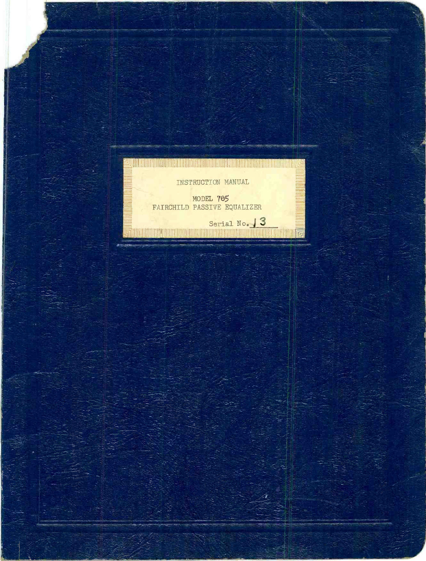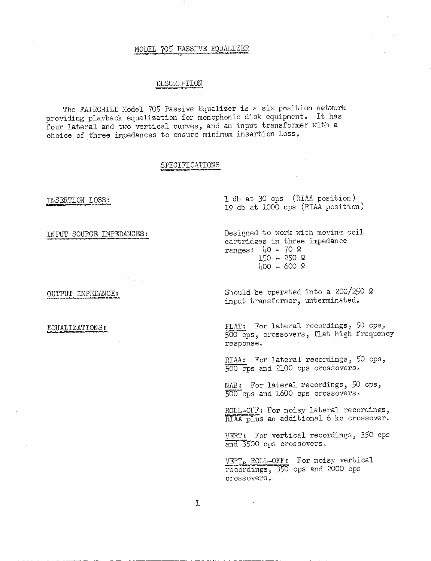## MODEL 705 PASSIVE EQUALIZER

### DESCRIPTION

The FAIRCHILD Model 705 Passive Equalizer is a six position network providing plavback equalization for monophonic disk equipment. It has four lateral and two vertical curves, and an input transformer with a choice of three impedances to ensure minimum insertion loss.

#### SPECIFICATIONS

INPUT SOURCE IMPEDANCES;

OUTPUT IMPEDANCE:

EQUALIZATIONS:

INSERTION LOSS: 1 db at 30 cps (RIAA position) 19 db at 1000 cps (RIAA position)

> Designed to work with moving coil cartridges in three impedance ranges:  $\mu$ 0 - 70  $\Omega$ 150 - 250 Ω 400 - 600 2

Should be operated into a 200/250  $\Omega$ input transformer, unterminated.

FLAT: For lateral recordings,  $50$  cps, 500 cps, crossovers, flat high frequency response

RIAA: For lateral recordings, 50 cps, 500 cps and 2100 cps crossovers.

NAB: For lateral recordings, 50 cps, 500 cps and 1600 cps crossovers.

ROLL-OFF: For noisy lateral recordings, RIAA plus an additional 6 kc crossover.

VERT: For vertical recordings, 350 cps and 3500 cps crossovers,

VERT, ROLL -OFF: For noisy vertical recordings, 350 cps and 2000 cps crossovers.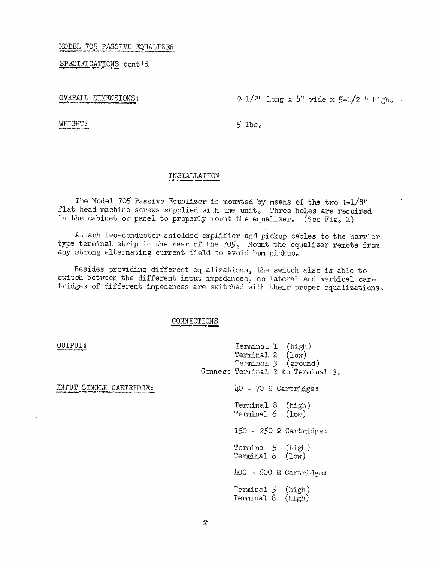#### MODEL 705 PASSIVE EQUALIZER

SPECIFICATIONS contid

OVERALL DIMENSIONS:

 $9-1/2$ " long x  $\mu$ " wide x  $5-1/2$  " high.

WEIGHT:

**OUTPUT** 

INPUT SINGLE CARTRIDGE:

 $5$  lbs.

#### INSTALLATION

The Model 705 Passive Equalizer is mounted by means of the two  $1-1/8$ " flat head machine screws supplied with the unit. Three holes are required in the cabinet or panel to properly mount the equalizer. (See Fig. 1)

Attach two-conductor shielded amplifier and pickup cables to the barrier type terminal strip in the rear of the 705. Mount the equalizer remote from any strong alternating current field to avoid hum pickup.

Besides providing different equalizations, the switch also is able to switch between the different input impedances, so lateral and vertical cartridges of different impedances are switched with their proper equalizations.

#### CONNECTIONS

Terminal 1 (high) Terminal 2 (low) Terminal 3 (ground) Connect Terminal 2 to Terminal 3.  $\mu$ 0 - 70  $\Omega$  Cartridges Terminal 8 (high) Terminal 6 (low) 150 - 250 2 Cartridge: Terminal 5 (high) Terminal 6 (low)  $\text{\textsterling}00 - 600$  & Cartridge: Terminal 5 (high) Terminal 8 (high)

 $\tilde{2}$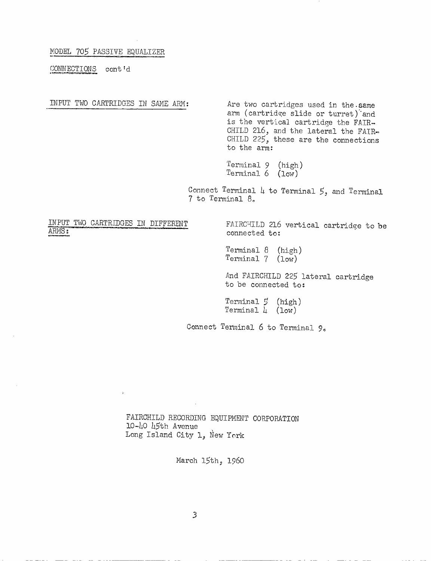MODEL 705 PASSIVE EQUALIZER

CONNECTIONS cont'd

INPUT TWO CARTRIDGES IN SAME ARM: Are two cartridges used in the.same arm (cartridge slide or turret)'and is the vertical cartridge the FAIR-CHILD 216, and the lateral the FAIR-CHILD 225, these are the connections to the arm:

> Terminal 9 (high) Terminal 6 (low)

Connect Terminal 4 to Terminal 5, and Terminal 7 to Terminal 8.

# INPUT TWO CARTRIDGES IN DIFFERENT FAIRCHILD 216 vertical cartridge to be

 $\hat{P}$ 

connected to:

Terminal 8 (high) Terminal 7 (low)

And FAIRCHILD 225 lateral cartridge to be connected to:

Terminal 5 (high) Terminal  $\mu$  (low)

Connect Terminal 6 to Terminal 9.

FAIRCHILD RECORDING EQUIPMENT CORPORATION 10-40 45th Avenue Long Island City 1, New York

March 15th, 1960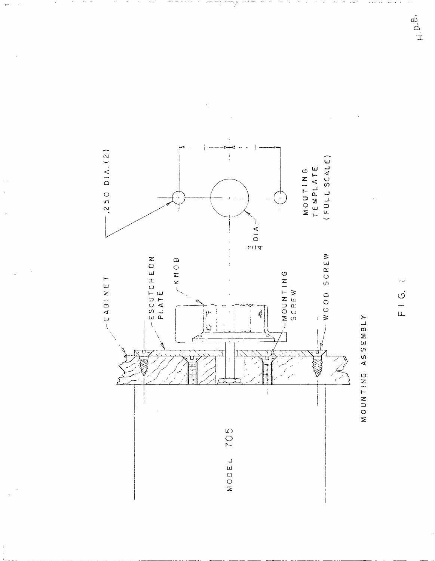